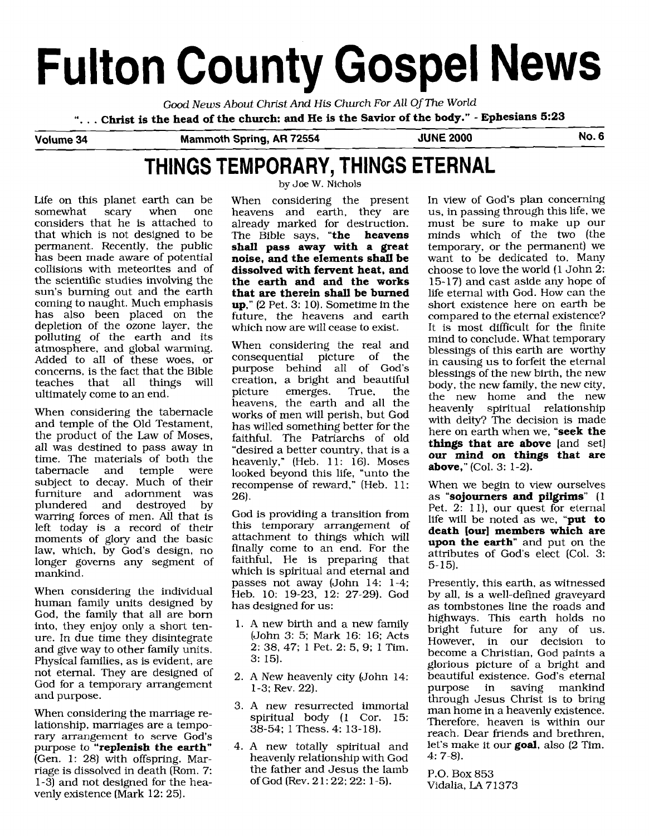# **Fulton County Gospel News**

*Good News About* Christ *And* His Church For *All* Of **The** *World* 

". . . **Christ is the head of the church: and He is the Savior of the body."** - **Ephesians 5:23** 

**Volume 34 Mammoth Spring, AR 72554 JUNE 2000 No. 6** 

## **THINGS TEMPORARY, THINGS ETERNAL**

Life on this planet earth can be<br>somewhat scary when one somewhat scary when one considers that he is attached to that which is not designed to be permanent. Recently, the public has been made aware of potential collisions with meteorites and of the scientific studies involving the sun's burning out and the earth coming to naught. Much emphasis has also been placed on the depletion of the ozone layer, the polluting of the earth and its atmosphere, and global warming. Added to all of these woes, or concerns, is the fact that the Bible<br>teaches that all things will teaches that all things ultimately come to an end.

When considering the tabernacle and temple of the Old Testament, the product of the Law of Moses, all was destined to pass away in time. The materials of both the tabernacle subject to decay. Much of their furniture and adornment was<br>plundered and destroved by destroyed warring forces of men. All that is left today is a record of their moments of glory and the basic law, which, by God's design, no longer governs any segment of mankind.

When considering the individual human family units designed by God, the family that all are born into, they enjoy only a short tenure. In due time they disintegrate and give way to other family units. Physical families, as is evident, are not eternal. They are designed of God for a temporary arrangement and purpose.

When considering the marriage relationship, marriages are a temporary arrangement to serve God's purpose to **"replenish the earth"**  (Gen. 1: 28) with offspring. **Mar**riage is dissolved in death (Rom. 7: 1-3) and not designed for the heavenly existence (Mark 12: 25).

by Joe W. Nichols

When considering the present<br>heavens and earth, they are heavens and earth, they already marked for destruction. The Bible says, **"the heavens shall pass away with a great noise, and the elements shall be dissolved with fervent heat, and the earth and and the works that are therein shall be burned up,"** (2 Pet. 3: 10). Sometime in the future, the heavens and earth which now are will cease to exist.

When considering the real and consequential picture of the purpose behind all of God's creation, a bright and beautiful<br>picture emerges. True, the emerges. heavens, the earth and all the works of men will perish, but God has willed something better for the faithful. The Patriarchs of old "desired a better country, that is a heavenly," (Heb. 11: 16). Moses looked beyond this life, "unto the recompense of reward," (Heb. 11: 26).

God is providing a transition from this temporary arrangement of attachment to things which will finally come to an end. For the faithful, He is preparing that which is spiritual and eternal and passes not away (John 14: 1-4; Heb. 10: 19-23, 12: 27-29). God has designed for us:

- 1. A new birth and a new family (John **3:** 5; Mark 16: 16; Acts 2: 38, 47; 1 Pet. 2: 5, 9; 1 Tim. 3: 15).
- 2. A New heavenly city (John 14: 1-3; Rev. 22).
- 3. A new resurrected immortal spiritual body (1 Cor. 15: 38-54; 1 Thess. 4: 13-18).
- 4. A new totally spiritual and heavenly relationship with God the father and Jesus the lamb of God (Rev. 2 1: 22; 22: 1-5).

In view of God's plan concerning us, in passing through this life, we must be sure to make up our minds which of the two (the temporary, or the permanent) we want to be dedicated to. Many choose to love the world (1 John 2: 15- 17) and cast aside any hope of life eternal with God. How can the short existence here on earth be compared to the eternal existence? It is most difficult for the finite mind to conclude. What temporary blessings of this earth are worthy in causing us to forfeit the eternal blessings of the new birth, the new body, the new family, the new city, the new home and the new<br>heavenly spiritual relationship spiritual relationship with deity? The decision is made here on earth when we, **"seek the things that are above** [and set] **our mind on things that are above,"** (Col. 3: 1-2).

When we begin to view ourselves as **"sojourners and pilgrims"** (1 Pet. 2: 11), our quest for eternal life will be noted as we, **"put to death [our] members which are upon the earth"** and put on the attributes of God's elect (Col. 3: 5- 15).

Presently, this earth, as witnessed by all, is a well-defined graveyard as tombstones line the roads and highways. This earth holds no bright future for any of us. However, in our decision to become a Christian, God paints a glorious picture of a bright and beautiful existence. God's eternal<br>purpose in saving mankind saving mankind through Jesus Christ is to bring man home in a heavenly existence. Therefore, heaven is within our reach. Dear friends and brethren, let's make it our **goal,** also (2 Tim. 4: 7-8).

P.O. Box 853 Vidalia, LA 71373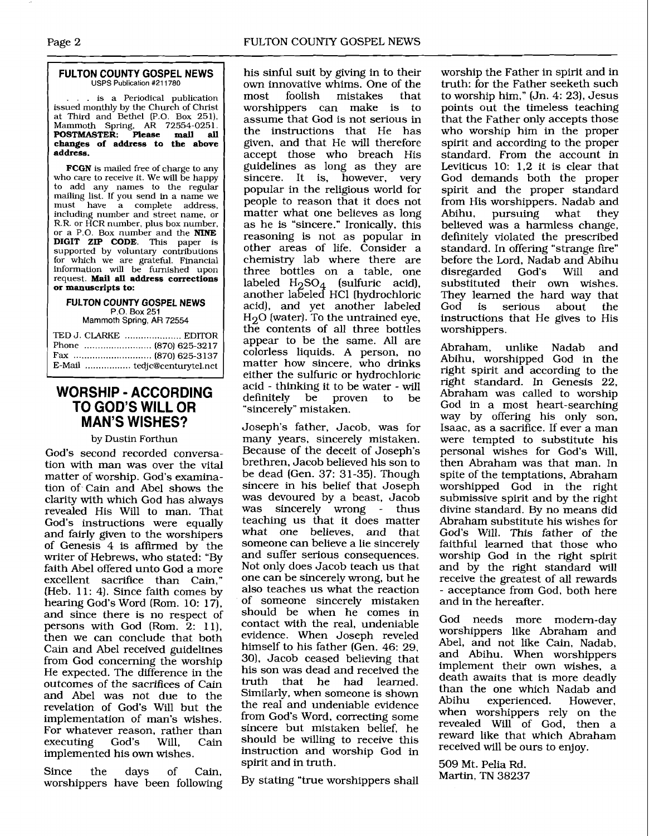#### **FULTON COUNTY GOSPEL NEWS**  USPS Publication #211780

- -

.. is a Periodical publication issued monthly by the Church of Christ at Third and Bethel (P.O. Box 251). Mammoth Spring, **AR** 72554-0251. **POSTMASTER. Please mail all changes of address to the above address.** 

**FCGN** is mailed free of charge to any who care to receive it. We will be happy to add any names to the regular mailing list. If you send in a name we<br>must have a complete address have a complete address, including number and street name, or R.R. or HCR number, plus box number, or a P.O. Box number and the **MNE DIGIT** ZIP **CODE.** This paper is supported by voluntary contributions for which we are grateful. Financial information **will** be furnished upon request. **Mail all address corrections or manuscripts to:** 

#### **FULTON COUNTY GOSPEL NEWS**  P.O. Box **251**

Mammoth **Spring, AR 72554** 

| TED J. CLARKE  EDITOR |
|-----------------------|
|                       |
|                       |
|                       |

## **WORSHIP** - **ACCORDING TO GOD'S WILL OR MAN'S WISHES?**

### by Dustin Forthun

God's second recorded conversation with man was over the vital matter of worship. God's examination of Cain and Abel shows the clarity with which God has always revealed His Will to man. That God's instructions were equally and fairly given to the worshipers of Genesis 4 is affirmed by the writer of Hebrews, who stated: "By faith Abel offered unto God a more excellent sacrifice than Cain," (Heb.  $11: 4$ ). Since faith comes by hearing God's Word (Rom. 10: 17), and since there is no respect of persons with God (Rom. 2: 11), then we can conclude that both Cain and Abel received guidelines from God concerning the worship He expected. The difference in the outcomes of the sacrifices of **Cain**  and Abel was not due to the revelation of God's Will but the implementation of man's wishes. For whatever reason, rather than<br>executing God's Will, Cain executing God's Will, Cain implemented his own wishes.

Since the days of Cain, worshippers have been following

his sinful suit by giving in to their own innovative whims. One of the<br>most foolish mistakes that mistakes worshippers can make is to assume that God is not serious in the instructions that He has given, and that He will therefore accept those who breach His guidelines as long as they are sincere. It is, however, very popular in the religious world for people to reason that it does not matter what one believes as long as he is "sincere." Ironically, this reasoning is not as popular in other areas of life. Consider a chemistry lab where there are three bottles on a table, one labeled  $\rm H_2SO_4$  (sulfuric acid), another labeled HC1 [hydrochloric acid), and yet another labeled  $\rm H_2O$  (water). To the untrained eye, the contents of all three bottles appear to be the same. All are colorless liquids. A person, no matter how sincere, who drinks either the sulfuric or hydrochloric acid - thinking it to be water - will definitely be proven to be "sincerely" mistaken.

Joseph's father, Jacob, was for many years, sincerely mistaken. Because of the deceit of Joseph's brethren. Jacob believed his son to be dead (Gen. 37: 31-35). Though sincere in his belief that Joseph was devoured by a beast, Jacob<br>was sincerely wrong - thus was sincerely wrong teaching us that it does matter what one believes, and that someone can believe a lie sincerely and suffer serious consequences. Not only does Jacob teach us that one can be sincerely wrong, but he also teaches us what the reaction of someone sincerely mistaken should be when he comes in contact with the real, undeniable evidence. When Joseph reveled himself to his father (Gen. 46: 29, 301, Jacob ceased believing that his son was dead and received the<br>truth that he had learned. that he had learned. Similarly, when someone is shown the real and undeniable evidence from God's Word, correcting some sincere but mistaken belief, he should be willing to receive this instruction and worship God in spirit and in truth.

By stating "true worshippers shall

worship the Father in spirit and in truth: for the Father seeketh such to worship him," (Jn. 4: 23), Jesus points out the timeless teaching that the Father only accepts those who worship him in the proper spirit and according to the proper standard. From the account in Leviticus 10: 1,2 it is clear that God demands both the proper spirit and the proper standard from His worshippers. Nadab and<br>Abihu, pursuing what they pursuing believed was a harmless change, definitely violated the prescribed standard. In offering "strange fire" before the Lord, Nadab and Abihu<br>disregarded God's Will and disregarded substituted their own wishes. They learned the hard way that<br>God is serious about the God is serious instructions that He gives to His worshippers.

Abraham, unlike Nadab and Abihu, worshipped God in the right spirit and according to the right standard. In Genesis 22, Abraham was called to worship God in a most heart-searching way by offering his only son, Isaac, as a sacrifice. If ever a man were tempted to substitute his personal wishes for God's Will, then Abraham was that man. In spite of the temptations, Abraham worshipped God in the right submissive spirit and by the right divine standard. By no means did Abraham substitute his wishes for God's Will. This father of the faithful learned that those who worship God in the right spirit and by the right standard will receive the greatest of all rewards - acceptance from God, both here and in the hereafter.

God needs more modem-day worshippers like Abraham and Abel, and not like Cain, Nadab, and Abihu. When worshippers implement their own wishes, a death awaits that is more deadly than the one which Nadab and experienced. However, when worshippers rely on the revealed Will of God, then a reward like that which Abraham received will be ours to enjoy.

509 Mt. Pelia Rd. Martin, TN 38237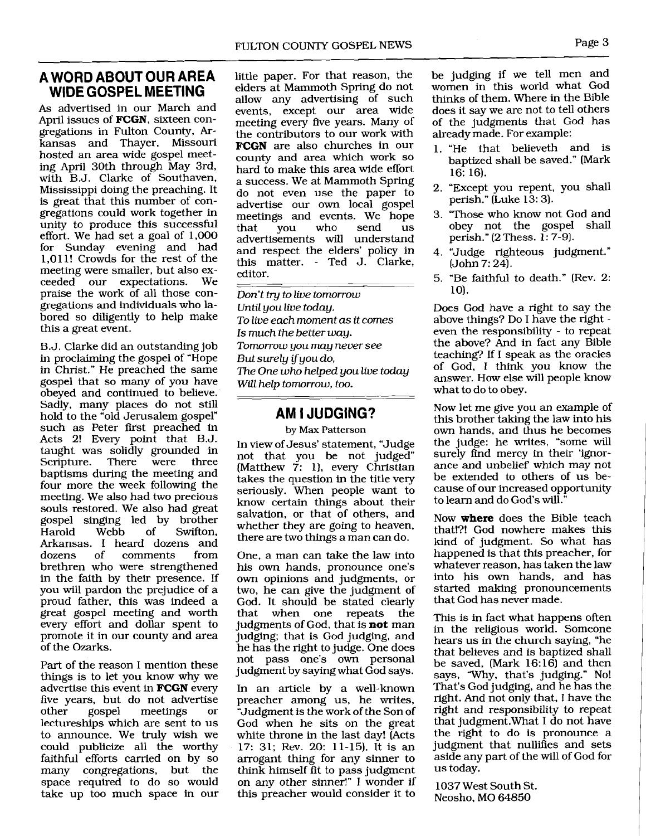## **A WORD ABOUT OUR AREA WIDE GOSPEL MEETING**

As advertised in our March and April issues of **FCGN,** sixteen congregations in Fulton County, **Ar**kansas and Thayer, Missouri hosted an area wide gospel meeting April 30th through May 3rd, with B.J. Clarke of Southaven, Mississippi doing the preaching. It is great that this number of congregations could work together in unity to produce this successful effort. We had set a goal of 1,000 for Sunday evening and had 1,011! Crowds for the rest of the meeting were smaller, but also ex-<br>ceeded our expectations. We ceeded our expectations. praise the work of all those congregations and individuals who labored so diligently to help make this a great event.

B. J. Clarke did an outstanding job in proclaiming the gospel of "Hope in Christ." He preached the same gospel that so many of you have obeyed and continued to believe. Sadly, many places do not still hold to the "old Jerusalem gospel" such as Peter first preached in Acts 2! Every point that B.J. taught was solidly grounded in Scripture. There were three baptisms during the meeting and four more the week following the meeting. We also had two precious souls restored. We also had great gospel singing led by brother Swifton. Arkansas. I heard dozens and<br>dozens of comments from dozens of comments brethren who were strengthened in the faith by their presence. If you will pardon the prejudice of a proud father, this was indeed a great gospel meeting and worth every effort and dollar spent to promote it in our county and area of the Ozarks.

Part of the reason I mention these things is to let you know why we advertise this event in **FCGN** every five years, but do not advertise<br>other gospel meetings or meetings lectureships which are sent to us to announce. We truly wish we could publicize all the worthy faithful efforts carried on by so many congregations, but the space required to do so would take up too much space in our little paper. For that reason, the elders at Mammoth Spring do not allow any advertising of such events, except our area wide meeting every five years. Many of the contributors to our work with **FCGN** are also churches in our county and area which work so hard to make this area wide effort a success. We at Mammoth Spring do not even use the paper to advertise our own local gospel meetings and events. We hope<br>that you who send us that you who send us advertisements will understand and respect the elders' policy in this matter. - Ted J. Clarke, editor.

*Don't try to live tomorrow Until you live today. To live each moment as it comes Is much the better way. Tomorrow you may never see But surely if you do, The One who helped you live today Will help tomorrow, too.* --

## **AM I JUDGING?**

**by Max Patterson** 

In view of Jesus' statement, "Judge not that you be not judged" (Matthew  $\tilde{7}$ : 1), every Christian takes the question in the title very seriously. When people want to know certain things about their salvation, or that of others, and whether they are going to heaven, there are two things a man can do.

One, a man can take the law into his own hands, pronounce one's own opinions and judgments, or two, he can give the judgment of God. It should be stated clearly<br>that when one repeats the when one repeats judgments of God, that is **not** man judging; that is God judging, and he has the right to judge. One does not pass one's own personal judgment by saying what God says.

In an article by a well-known preacher among us, he writes, "Judgment is the work of the Son of God when he sits on the great white throne in the last day! (Acts 17: **31;** Rev. 20: 11-15). It is an arrogant thing for any sinner to think himself fit to pass judgment on any other sinner!" I wonder if this preacher would consider it to

be judging if we tell men and women in this world what God thinks of them. Where in the Bible does it say we are not to tell others of the judgments that God has already made. For example:

- 1. "He that believeth and is baptized shall be saved." (Mark 16: 16).
- 2. "Except you repent, you shall perish." (Luke 13: **3).**
- **3.** 'Those who know not God and obey not the gospel shall perish." (2 Thess. 1: 7-91.
- 4. "Judge righteous judgment."  $(John 7: 24)$ .
- 5. "Be faithful to death." (Rev. 2: 10).

Does God have a right to say the above things? Do I have the right even the responsibility - to repeat the above? And in fact any Bible teaching? If I speak as the oracles of God, I think you know the answer. How else will people know what to do to obey.

Now let me give you an example of this brother taking the law into his own hands, and thus he becomes the judge: he writes, "some will surely find mercy in their 'ignorance and unbelief which may not be extended to others of us because of our increased opportunity to learn and do God's will."

Now **where** does the Bible teach that!?! God nowhere makes this kind of judgment. So what has happened is that this preacher, for whatever reason, has taken the law into his own hands, and has started making pronouncements that God has never made.

This is in fact what happens often in the religious world. Someone hears us in the church saying, "he that believes and is baptized shall be saved,  $(Mark 16:16)$  and then says, "Why, that's judging." No! That's God judging, and he has the right. And not only that, I have the right and responsibility to repeat that judgment.What I do not have the right to do is pronounce a judgment that nullifies and sets aside any part of the will of God for us today.

1037 West South St. Neosho, MO 64850